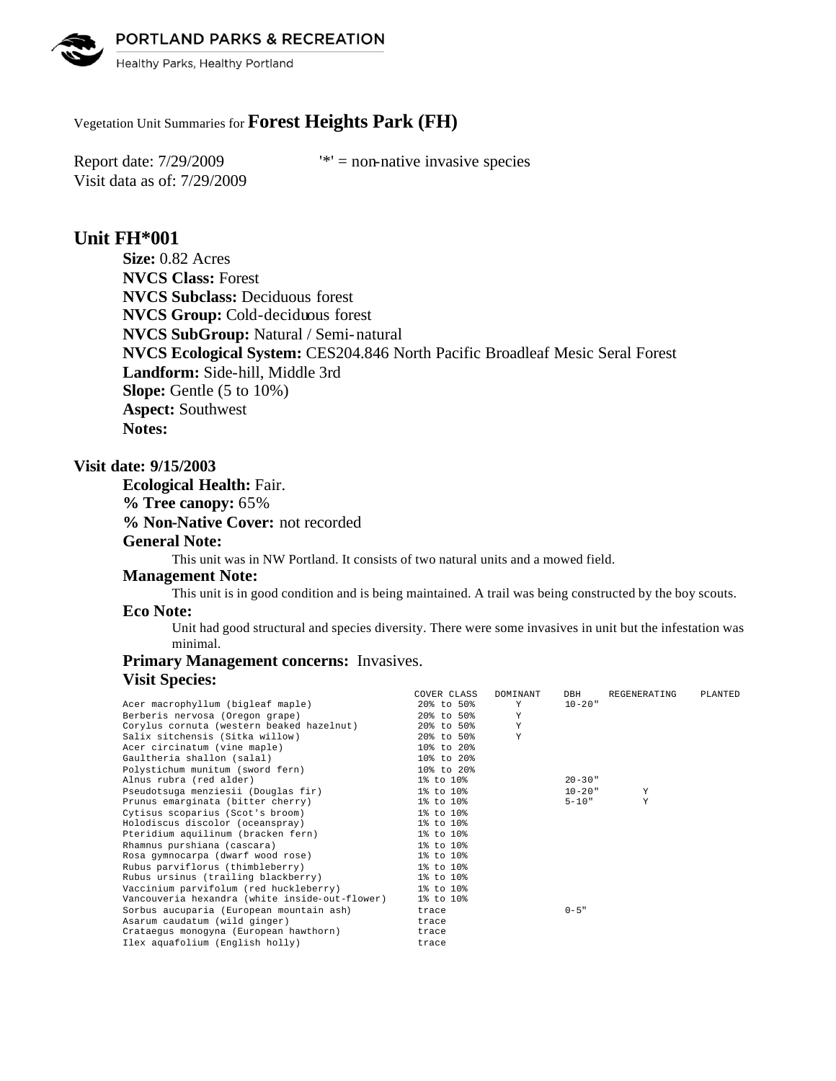PORTLAND PARKS & RECREATION



Healthy Parks, Healthy Portland

# Vegetation Unit Summaries for **Forest Heights Park (FH)**

Visit data as of: 7/29/2009

Report date:  $7/29/2009$  '\*' = non-native invasive species

## **Unit FH\*001**

**Size:** 0.82 Acres **NVCS Class:** Forest **NVCS Subclass:** Deciduous forest **NVCS Group:** Cold-deciduous forest **NVCS SubGroup:** Natural / Semi-natural **NVCS Ecological System:** CES204.846 North Pacific Broadleaf Mesic Seral Forest **Landform:** Side-hill, Middle 3rd **Slope:** Gentle (5 to 10%) **Aspect:** Southwest **Notes:** 

## **Visit date: 9/15/2003**

**Ecological Health:** Fair. **% Tree canopy:** 65% **% Non-Native Cover:** not recorded **General Note:**

This unit was in NW Portland. It consists of two natural units and a mowed field.

### **Management Note:**

This unit is in good condition and is being maintained. A trail was being constructed by the boy scouts.

## **Eco Note:**

Unit had good structural and species diversity. There were some invasives in unit but the infestation was minimal.

## **Primary Management concerns:** Invasives. **Visit Species:**

| COVER CLASS                                                 | <b>DOMTNANT</b> | DBH                                    | REGENERATING | PLANTED                  |
|-------------------------------------------------------------|-----------------|----------------------------------------|--------------|--------------------------|
|                                                             | Y               | $10 - 20$ "                            |              |                          |
|                                                             | Y               |                                        |              |                          |
| Corylus cornuta (western beaked hazelnut)                   | Y               |                                        |              |                          |
| 20% to 50%                                                  | Y               |                                        |              |                          |
| 10% to 20%                                                  |                 |                                        |              |                          |
| 10% to 20%                                                  |                 |                                        |              |                          |
| 10% to 20%                                                  |                 |                                        |              |                          |
| 1% to 10%                                                   |                 | $20 - 30$ "                            |              |                          |
| 1% to 10%                                                   |                 |                                        | Y            |                          |
| 1% to 10%                                                   |                 |                                        | Y            |                          |
| 1% to 10%                                                   |                 |                                        |              |                          |
| 1% to 10%                                                   |                 |                                        |              |                          |
| 1% to 10%                                                   |                 |                                        |              |                          |
| 1% to 10%                                                   |                 |                                        |              |                          |
| 1% to 10%                                                   |                 |                                        |              |                          |
| 1% to 10%                                                   |                 |                                        |              |                          |
| Rubus ursinus (trailing blackberry)<br>1% to 10%            |                 |                                        |              |                          |
| Vaccinium parvifolum (red huckleberry) 1% to 10%            |                 |                                        |              |                          |
| Vancouveria hexandra (white inside-out-flower)<br>1% to 10% |                 |                                        |              |                          |
| trace                                                       |                 | $0 - 5$ "                              |              |                          |
| trace                                                       |                 |                                        |              |                          |
| trace                                                       |                 |                                        |              |                          |
| trace                                                       |                 |                                        |              |                          |
|                                                             |                 | 20% to 50%<br>20% to 50%<br>20% to 50% |              | $10 - 20$ "<br>$5 - 10"$ |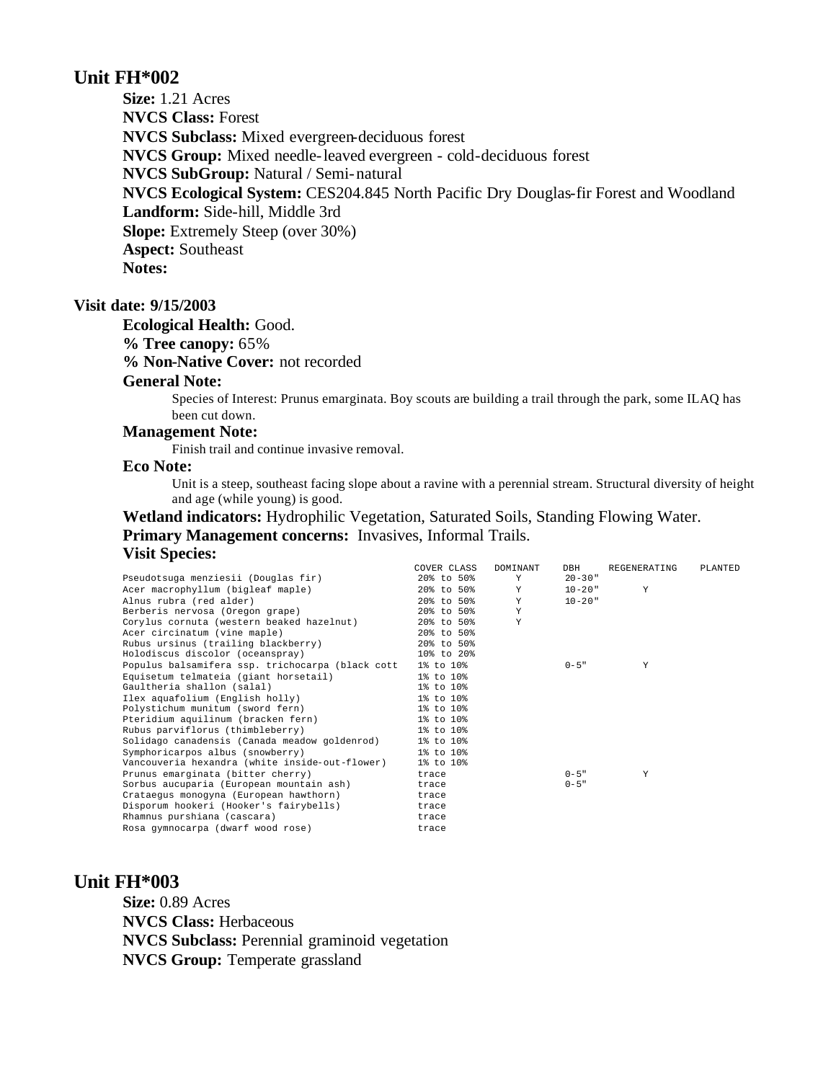## **Unit FH\*002**

**Size:** 1.21 Acres **NVCS Class:** Forest **NVCS Subclass:** Mixed evergreen-deciduous forest **NVCS Group:** Mixed needle-leaved evergreen - cold-deciduous forest **NVCS SubGroup:** Natural / Semi-natural **NVCS Ecological System:** CES204.845 North Pacific Dry Douglas-fir Forest and Woodland **Landform:** Side-hill, Middle 3rd **Slope:** Extremely Steep (over 30%) **Aspect:** Southeast **Notes:** 

## **Visit date: 9/15/2003**

#### **Ecological Health:** Good.

### **% Tree canopy:** 65%

**% Non-Native Cover:** not recorded

## **General Note:**

Species of Interest: Prunus emarginata. Boy scouts are building a trail through the park, some ILAQ has been cut down.

## **Management Note:**

Finish trail and continue invasive removal.

## **Eco Note:**

Unit is a steep, southeast facing slope about a ravine with a perennial stream. Structural diversity of height and age (while young) is good.

## **Wetland indicators:** Hydrophilic Vegetation, Saturated Soils, Standing Flowing Water. **Primary Management concerns:** Invasives, Informal Trails. **Visit Species:**

|                                                  | COVER CLASS | <b>DOMINANT</b> | DBH         | REGENERATING | PLANTED |
|--------------------------------------------------|-------------|-----------------|-------------|--------------|---------|
| Pseudotsuga menziesii (Douglas fir)              | 20% to 50%  | Y               | $20 - 30$ " |              |         |
| Acer macrophyllum (bigleaf maple)                | 20% to 50%  | Y               | 10-20"      | Y            |         |
| Alnus rubra (red alder)                          | 20% to 50%  | Y               | $10 - 20$ " |              |         |
| Berberis nervosa (Oregon grape)                  | 20% to 50%  | $\mathbf{v}$    |             |              |         |
| Corylus cornuta (western beaked hazelnut)        | 20% to 50%  | Υ               |             |              |         |
| Acer circinatum (vine maple)                     | 20% to 50%  |                 |             |              |         |
| Rubus ursinus (trailing blackberry)              | 20% to 50%  |                 |             |              |         |
| Holodiscus discolor (oceanspray)                 | 10% to 20%  |                 |             |              |         |
| Populus balsamifera ssp. trichocarpa (black cott | 1% to 10%   |                 | $0 - 5$ "   | Y            |         |
| Equisetum telmateia (giant horsetail)            | 1% to 10%   |                 |             |              |         |
| Gaultheria shallon (salal)                       | 1% to 10%   |                 |             |              |         |
| Ilex aquafolium (English holly)                  | 1% to 10%   |                 |             |              |         |
| Polystichum munitum (sword fern)                 | 1% to 10%   |                 |             |              |         |
| Pteridium aquilinum (bracken fern)               | 1% to 10%   |                 |             |              |         |
| Rubus parviflorus (thimbleberry)                 | 1% to 10%   |                 |             |              |         |
| Solidago canadensis (Canada meadow goldenrod)    | 1% to 10%   |                 |             |              |         |
| Symphoricarpos albus (snowberry)                 | 1% to 10%   |                 |             |              |         |
| Vancouveria hexandra (white inside-out-flower)   | 1% to 10%   |                 |             |              |         |
| Prunus emarginata (bitter cherry)                | trace       |                 | $0 - 5$ "   | Y            |         |
| Sorbus aucuparia (European mountain ash)         | trace       |                 | $0 - 5$ "   |              |         |
| Crataequs monoqyna (European hawthorn)           | trace       |                 |             |              |         |
| Disporum hookeri (Hooker's fairybells)           | trace       |                 |             |              |         |
| Rhamnus purshiana (cascara)                      | trace       |                 |             |              |         |
| Rosa gymnocarpa (dwarf wood rose)                | trace       |                 |             |              |         |
|                                                  |             |                 |             |              |         |

# **Unit FH\*003**

**Size:** 0.89 Acres **NVCS Class:** Herbaceous **NVCS Subclass:** Perennial graminoid vegetation **NVCS Group:** Temperate grassland